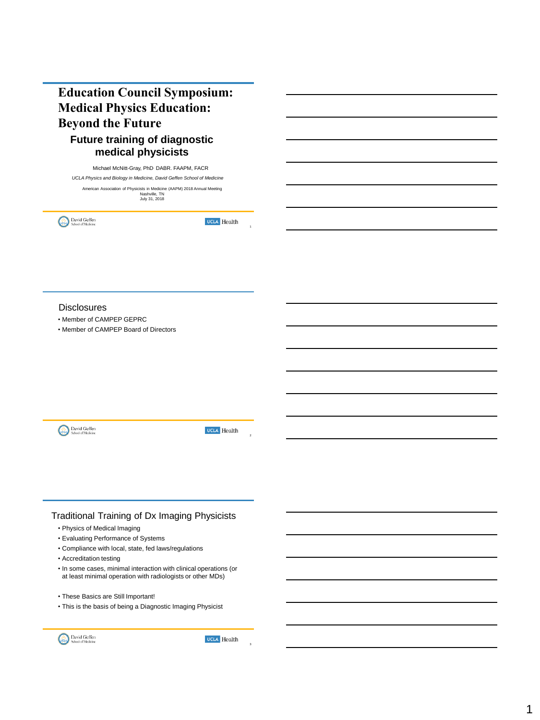# **Education Council Symposium: Medical Physics Education: Beyond the Future Future training of diagnostic**

# **medical physicists**

Michael McNitt-Gray, PhD. DABR. FAAPM, FACR *UCLA Physics and Biology in Medicine, David Geffen School of Medicine* American Association of Physicists in Medicine (AAPM) 2018 Annual Meeting<br>Nashville, TN<br>July 31, 2018

David Geffen

**UCLA** Health

#### **Disclosures**

• Member of CAMPEP GEPRC

• Member of CAMPEP Board of Directors

David Geffen

**UCLA** Health

## Traditional Training of Dx Imaging Physicists

- Physics of Medical Imaging
- Evaluating Performance of Systems
- Compliance with local, state, fed laws/regulations
- Accreditation testing
- In some cases, minimal interaction with clinical operations (or at least minimal operation with radiologists or other MDs)
- These Basics are Still Important!
- This is the basis of being a Diagnostic Imaging Physicist



**UCLA** Health

3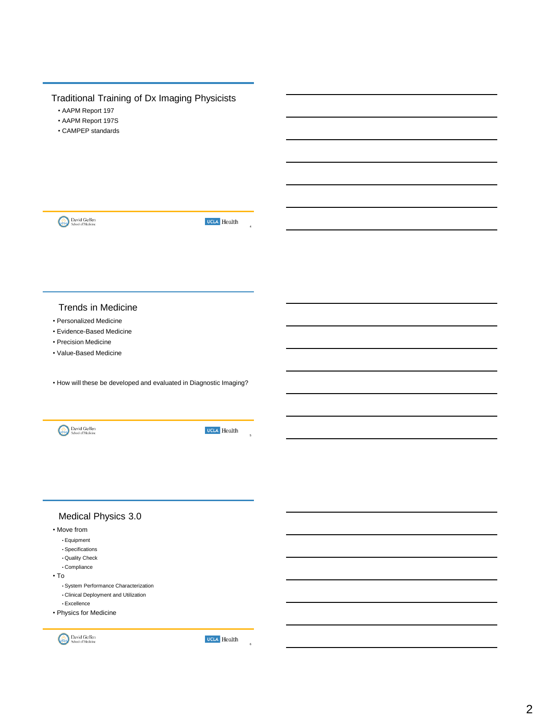# Traditional Training of Dx Imaging Physicists

- AAPM Report 197
- AAPM Report 197S
- CAMPEP standards



**UCLA** Health

4

#### Trends in Medicine

- Personalized Medicine
- Evidence-Based Medicine
- Precision Medicine
- Value-Based Medicine

• How will these be developed and evaluated in Diagnostic Imaging?



**UCLA** Health

5

# Medical Physics 3.0

- Move from
	- Equipment
	- Specifications
	- Quality Check • Compliance
	-
- To
	- System Performance Characterization
	- Clinical Deployment and Utilization • Excellence
	-
- Physics for Medicine



**UCLA** Health

6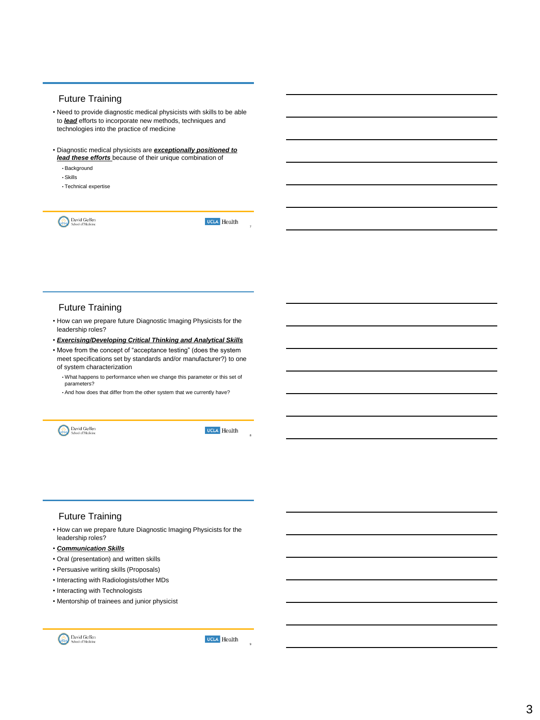#### Future Training

- Need to provide diagnostic medical physicists with skills to be able to *lead* efforts to incorporate new methods, techniques and technologies into the practice of medicine
- Diagnostic medical physicists are *exceptionally positioned to lead these efforts* because of their unique combination of
	- Background
	- Skills
	- Technical expertise

David Geffen

**UCLA** Health

7

### Future Training

- How can we prepare future Diagnostic Imaging Physicists for the leadership roles?
- *Exercising/Developing Critical Thinking and Analytical Skills*
- Move from the concept of "acceptance testing" (does the system meet specifications set by standards and/or manufacturer?) to one of system characterization
	- What happens to performance when we change this parameter or this set of parameters?
	- And how does that differ from the other system that we currently have?



**UCLA** Health

8

### Future Training

- How can we prepare future Diagnostic Imaging Physicists for the leadership roles?
- *Communication Skills*
- Oral (presentation) and written skills
- Persuasive writing skills (Proposals)
- Interacting with Radiologists/other MDs
- Interacting with Technologists
- Mentorship of trainees and junior physicist



**UCLA** Health

9